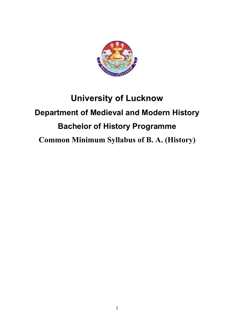

# **University of Lucknow Department of Medieval and Modern History Bachelor of History Programme Common Minimum Syllabus of B. A. (History)**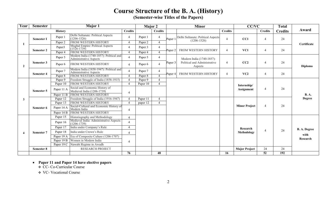# **Course Structure of the B. A. (History)**

**(Semester-wise Titles of the Papers)** 

| Year             | <b>Semester</b>   | Major 1    |                                                                          |                                                                                                  | <b>Major 2</b> |                             | <b>Minor</b> |                                                                      |    | <b>CC/VC</b>                     |                | <b>Total</b> |                                         |
|------------------|-------------------|------------|--------------------------------------------------------------------------|--------------------------------------------------------------------------------------------------|----------------|-----------------------------|--------------|----------------------------------------------------------------------|----|----------------------------------|----------------|--------------|-----------------------------------------|
| <b>History</b>   |                   |            | <b>Credits</b>                                                           |                                                                                                  | <b>Credits</b> |                             |              | <b>Credits</b>                                                       |    | <b>Credits</b>                   | <b>Credits</b> | Award        |                                         |
|                  | <b>Semester I</b> | Paper 1    | Delhi Sultanate: Political Aspects<br>$(1206 - 1526)$                    | $\boldsymbol{\varDelta}$<br>$\overline{\mathcal{A}}$                                             | Paper 1        | $\overline{4}$              | Paper 1      | Delhi Sultanate: Political Aspects<br>$(1206 - 1526)$                |    | CC1                              | $\overline{4}$ | 24           | Certificate                             |
|                  |                   | Paper 2    | FROM WESTERN HISTORY                                                     |                                                                                                  | Paper 2        |                             |              |                                                                      |    |                                  |                |              |                                         |
|                  | <b>Semester 2</b> | Paper3     | Mughal Empire: Political Aspects<br>$(1526 - 1739)$                      | $\boldsymbol{\varDelta}$                                                                         | Paper 3        | $\overline{4}$              | Paper 2      | FROM WESTERN HISTORY                                                 | 4  | VC1                              | $\overline{4}$ | 24           |                                         |
|                  |                   | Paper 4    | FROM WESTERN HISTORY                                                     | $\overline{4}$                                                                                   | Paper 4        |                             |              |                                                                      |    |                                  |                |              |                                         |
| $\overline{2}$   | Semester 3        | Paper 5    | Modern India (1740-1857): Political and<br><b>Administrative Aspects</b> | $\boldsymbol{\varDelta}$                                                                         | Paper 5        | $\overline{4}$              | Paper 3      | Modern India (1740-1857):<br>Political and Administrative<br>Aspects | 4  | CC2                              | $\overline{4}$ | 24           | Diploma                                 |
|                  |                   | Paper 6    | FROM WESTERN HISTORY                                                     | $\overline{A}$                                                                                   | Paper 6        | $\overline{4}$              |              |                                                                      |    |                                  |                |              |                                         |
|                  | <b>Semester 4</b> | Paper 7    | Modern India (1858-1947): Political and<br><b>Administrative Aspects</b> | $\overline{4}$                                                                                   | Paper 7        | $\overline{4}$              | Paper 4      | FROM WESTERN HISTORY                                                 | 4  | VC2                              | $\overline{4}$ | 24           |                                         |
|                  |                   | Paper 8    | FROM WESTERN HISTORY                                                     | $\overline{A}$                                                                                   | Paper 8        |                             |              |                                                                      |    |                                  |                |              |                                         |
| 3                | Semester 5        | Paper 9    | Freedom Struggle of India (1858-1915)                                    | $\overline{A}$<br>$\overline{A}$<br>$\overline{4}$                                               | Paper 9        | $\boldsymbol{\varDelta}$    |              |                                                                      |    | Internship/<br><b>Assignment</b> | $\overline{4}$ | 24           | <b>B.A.</b><br><b>Degree</b>            |
|                  |                   | Paper 10   | FROM WESTERN HISTORY                                                     |                                                                                                  | Paper 10       | $\overline{4}$              |              |                                                                      |    |                                  |                |              |                                         |
|                  |                   | Paper 11 A | Social and Economic History of<br>Medieval India (1206-1739)             |                                                                                                  |                |                             |              |                                                                      |    |                                  |                |              |                                         |
|                  |                   | Paper 11 B | FROM WESTERN HISTORY                                                     |                                                                                                  |                |                             |              |                                                                      |    |                                  |                |              |                                         |
|                  | Semester 6        | Paper 12   | Freedom Struggle of India (1916-1947)                                    | $\overline{4}$                                                                                   | Paper 11       | $\boldsymbol{\vartriangle}$ |              |                                                                      |    |                                  | $\overline{4}$ | 24           |                                         |
|                  |                   | Paper 13   | FROM WESTERN HISTORY                                                     | $\boldsymbol{\varDelta}$                                                                         | paper 12       | $\boldsymbol{\varDelta}$    |              |                                                                      |    | <b>Minor Project</b>             |                |              |                                         |
|                  |                   | Paper 14 A | Social-Cultural and Economic History of<br>Modern India                  | $\overline{4}$                                                                                   |                |                             |              |                                                                      |    |                                  |                |              |                                         |
|                  |                   | Paper 14 B | FROM WESTERN HISTORY                                                     |                                                                                                  |                |                             |              |                                                                      |    |                                  |                |              |                                         |
| $\boldsymbol{4}$ | <b>Semester 7</b> | Paper 15   | Historiography and Methodology                                           | $\overline{4}$<br>$\overline{A}$<br>$\overline{A}$<br>$\boldsymbol{\varDelta}$<br>$\overline{4}$ |                |                             |              |                                                                      |    |                                  | $\overline{4}$ | 24           | <b>B. A. Degree</b><br>with<br>Research |
|                  |                   | Paper 16   | Medieval India: Administrative Aspects<br>$(1206 - 1739)$                |                                                                                                  |                |                             |              |                                                                      |    | Research<br>Methodology          |                |              |                                         |
|                  |                   | Paper 17   | India under Company's Rule                                               |                                                                                                  |                |                             |              |                                                                      |    |                                  |                |              |                                         |
|                  |                   | Paper 18   | India under Crown's Rule                                                 |                                                                                                  |                |                             |              |                                                                      |    |                                  |                |              |                                         |
|                  |                   | Paper 19 A | Era of Composite Culture (1206-1707)                                     |                                                                                                  |                |                             |              |                                                                      |    |                                  |                |              |                                         |
|                  |                   |            | Paper 19 B Women in Modern India                                         |                                                                                                  |                |                             |              |                                                                      |    |                                  |                |              |                                         |
|                  |                   |            | Paper 19 C Nawabi Regime in Awadh                                        |                                                                                                  |                |                             |              |                                                                      |    |                                  |                |              |                                         |
|                  | <b>Semester 8</b> |            | <b>RESEARCH PROJECT</b>                                                  |                                                                                                  |                |                             |              |                                                                      |    | <b>Major Project</b>             | 24             | 24           |                                         |
|                  |                   |            |                                                                          | 76                                                                                               |                | 48                          |              |                                                                      | 16 |                                  | 52             | 192          |                                         |

# • **Paper 11 and Paper 14 have elective papers**<br> **• CC- Co-Curricular Course**

**❖** VC- Vocational Course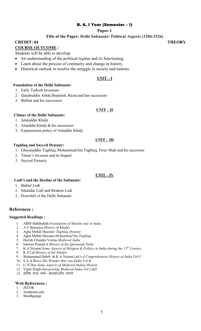#### B. A. I Year (Semester – I)

#### **Paper-1**

#### **Title of the Paper: Delhi Sultanate: Political Aspects (1206-1526)**

#### **CREDIT: 04** THEORY

#### **COURSE OUTCOME :**

Students will be able to develop:

- An understanding of the political regime and its functioning.
- Learn about the process of continuity and change in history.
- Historical outlook to resolve the struggle in society and nations.

#### **UNIT – I**

#### **Foundation of the Delhi Sultanate:**

- 1. Early Turkish Invasions
- 2. Qutubuddin Aibak;Iltutmish; Razia and her successors
- 3. Balban and his successors

#### **UNIT – II**

#### **Climax of the Delhi Sultanate:**

- 1. Jalaluddin Khalji
- 2. Alauddin Khalji & his successors
- 3. Expansionist policy of Alauddin Khalji

#### **UNIT – III**

#### **Tughluq and Sayyed Dynasty:**

- 1. Ghiyasuddin Tughluq, Mohammad bin Tughluq, Firuz Shah and his successor
- 2. Timur's Invasion and its Impact
- 3. Sayyed Dynasty

#### **UNIT – IV**

#### **Lodi's and the Decline of the Sultanate:**

- 1. Bahlul Lodi
- 2. Sikandar Lodi and Ibrahim Lodi
- 3. Downfall of the Delhi Sultanate

#### **References :**

#### **Suggested Readings :**

- 1. ABM Habibullah-*Foundation of Muslim rule in India*
- 2. A C Banerjee-*History of Khaljis*
- 3. Agha Mehdi Hussain- *Tughlaq Dynasty*
- 4. Agha Mehdi Hussain-*Mohammad bin Tughlaq*
- 5. Harish Chandra Verma-*Medieval India*
- 6. Ishwari Prasad-*A History of the Qaraunah Turks*
- 7. K A Nizami-*Some Aspects of Religion & Politics in India during the 13th Century*
- 8. K S Lal-*History of the Khaljis*
- 9. Mohammad Habib & K A Nizami (ed.)-*A Comprehensive History of India Vol-V*
- 10. S A A Rizvi-*The Wonder that was India Vol-II*
- 11. U N Day-*Some Aspects of Medieval Indian History*
- 12. Vipul Singh-*Interpreting Medieval India Vol-I &II*
- 13. हरीश चन्द्र वर्मा*–मध्यकालीन भारत*

- 1. JSTOR
- 2. Academia.edu
- 3. Shodhganga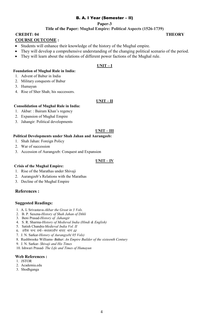#### **Paper-3**

### **Title of the Paper: Mughal Empire: Political Aspects (1526-1739)**

**CREDIT: 04** THEORY **COURSE OUTCOME :** 

- Students will enhance their knowledge of the history of the Mughal empire.
- They will develop a comprehensive understanding of the changing political scenario of the period.
- They will learn about the relations of different power factions of the Mughal rule.

#### **UNIT – I**

#### **Foundation of Mughal Rule in India:**

- 1. Advent of Babur in India
- 2. Military conquests of Babur
- 3. Humayun
- 4. Rise of Sher Shah; his successors.

#### **UNIT – II**

#### **Consolidation of Mughal Rule in India:**

- 1. Akbar: : Bairam Khan's regency
- 2. Expansion of Mughal Empire
- 3. Jahangir: Political developments

#### **UNIT – III**

#### **Political Developments under Shah Jahan and Aurangzeb:**

- 1. Shah Jahan: Foreign Policy
- 2. War of succession
- 3. Accession of Aurangzeb: Conquest and Expansion

#### **UNIT – IV**

#### **Crisis of the Mughal Empire:**

- 1. Rise of the Marathas under Shivaji
- 2. Aurangzeb's Relations with the Marathas
- 3. Decline of the Mughal Empire

#### **References :**

#### **Suggested Readings:**

- 1. A. L Srivastava-*Akbar the Great in 3 Vols.*
- 2. B. P. Saxena-*History of Shah Jahan of Dihli*
- 3. Beni Prasad-*History of Jahangir*
- 4. S. R. Sharma-*History of Medieval India (Hindi & English)*
- 5. Satish Chandra-*Medieval India Vol. II*
- 6. हरीश चन्द वर्मा-*मध्यकालीन भारत, भाग 02*
- 7. J. N. Sarkar-*History of Aurangzeb( 05 Vols)*
- 8. Rushbrooke Williams *Babur: An Empire Builder of the sixteenth Century*
- 9. J. N. Sarkar *Shivaji and His Times*
- 10. Ishwari Prasad *The Life and Times of Humayun*

- 1. JSTOR
- 2. Academia.edu 3. Shodhganga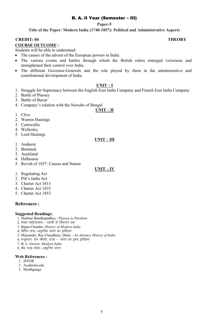# B. A. II Year (Semester – III)

#### **Paper-5**

**Title of the Paper: Modern India (1740-1857): Political and Administrative Aspects** 

#### **CREDIT: 04** THEORY **COURSE OUTCOME :**

Students will be able to understand:

- The causes of the advent of the European powers in India.
- The various events and battles through which the British rulers emerged victorious and strengthened their control over India.
- The different Governor-Generals and the role played by them in the administrative and constitutional development of India.

#### **UNIT – I**

- 1. Struggle for Supremacy between the English East India Company and French East India Company
- 2. Battle of Plassey
- 3. Battle of Buxar
- 4. Company's relation with the Nawabs of Bengal

# **UNIT – II**

- 1. Clive
- 2. Warren Hastings
- 3. Cornwallis
- 4. Wellesley
- 5. Lord Hastings

#### **UNIT – III**

- 1. Amherst
- 2. Bentinck
- 3. Auckland
- 4. Dalhousie
- 5. Revolt of 1857: Causes and Nature

#### **UNIT – IV**

- 1. Regulating Act
- 2. Pitt's India Act
- 3. Charter Act 1813
- 4. Charter Act 1833
- 5. Charter Act 1853

#### **References :**

#### **Suggested Readings:**

- 1. Shekhar Bandhopadhya *Plassey to Partition*
- 2. शेखर बंद्योपाध्याय– *प्लासी से विभाजन तक*
- 3. Bipan Chandra- *History of Modern India*
- 4. बिपिन चन्द्र-*आधुनिक भारत का इतिहास*
- 5. Majumdar, Ray Chaudhary, Dutta *An Advance History of India*
- $6.$  मजमदार, राय चौधरी, दत्ता *भारत का वृहद इतिहास*
- 7. B. L. Grover- *Modern India*
- 8. बी0 एल0 ग्रोवर-*आधुनिक भारत*

- 1. JSTOR
- 2. Academia.edu
- 3. Shodhganga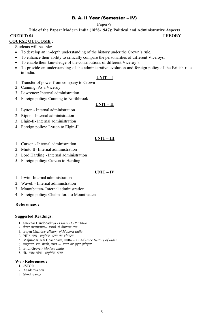# B. A. II Year (Semester – IV)

#### **Paper-7**

#### **Title of the Paper: Modern India (1858-1947): Political and Administrative Aspects CREDIT: 04** THEORY

# **COURSE OUTCOME :**

Students will be able:

- To develop an in-depth understanding of the history under the Crown's rule.
- To enhance their ability to critically compare the personalities of different Viceroys.
- To enable their knowledge of the contributions of different Viceroy's.
- To provide an understanding of the administrative evolution and foreign policy of the British rule in India.

#### **UNIT – I**

- 1. Transfer of power from company to Crown
- 2. Canning: As a Viceroy
- 3. Lawrence: Internal administration
- 4. Foreign policy: Canning to Northbrook

#### **UNIT – II**

- 1. Lytton Internal administration
- 2. Ripon Internal administration
- 3. Elgin-II- Internal administration
- 4. Foreign policy: Lytton to Elgin-II

### **UNIT – III**

- 1. Curzon Internal administration
- 2. Minto II- Internal administration
- 3. Lord Harding Internal administration
- 5. Foreign policy: Curzon to Harding

#### **UNIT – IV**

- 1. Irwin- Internal administration
- 2. Wavell Internal administration
- 3. Mountbatten- Internal administration
- 4. Foreign policy: Chelmsford to Mountbatten

#### **References :**

#### **Suggested Readings:**

- 1. Shekhar Bandopadhya *Plassey to Partition*
- 2. शेखर बंद्योपाध्याय– *प्लासी से विभाजन तक*
- 3. Bipan Chandra- *History of Modern India*
- 4. बिपिन चन्द्र–*आधुनिक भारत का इतिहास*
- 5. Majumdar, Rai Chaudhary, Dutta *An Advance History of India*
- 6. मजूमदार, राय चौधरी, दत्ता *भारत का वृहद इतिहास*
- 7. B. L. Grover- *Modern India*
- 8. बी0 एल0 ग्रोवर-*आधुनिक भारत*

- 1. JSTOR
- 2. Academia.edu
- 3. Shodhganga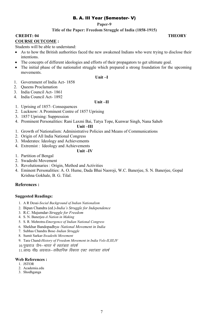#### **Paper-9**

### **Title of the Paper: Freedom Struggle of India (1858-1915)**

# **CREDIT: 04 THEORY**

#### **COURSE OUTCOME :**

Students will be able to understand:

- As to how the British authorities faced the new awakened Indians who were trying to disclose their intentions.
- The concepts of different ideologies and efforts of their propagators to get ultimate goal.
- The initial phase of the nationalist struggle which prepared a strong foundation for the upcoming movements.

#### **Unit –I**

- 1. Government of India Act- 1858
- 2. Queens Proclamation
- 3. India Council Act- 1861
- 4. India Council Act- 1892

#### **Unit –II**

- 1. Uprising of 1857- Consequences
- 2. Lucknow: A Prominent Centre of 1857 Uprising
- 3. 1857 Uprising: Suppression
- 4. Prominent Personalities: Rani Laxmi Bai, Tatya Tope, Kunwar Singh, Nana Saheb

#### **Unit –III**

- 1. Growth of Nationalism: Administrative Policies and Means of Communications
- 2. Origin of All India National Congress
- 3. Moderates: Ideology and Achievements
- 4. Extremist : Ideology and Achievements

#### **Unit –IV**

- 1. Partition of Bengal
- 2. Swadeshi Movement
- 3. Revolutionaries : Origin, Method and Activities
- 4. Eminent Personalities: A. O. Hume, Dada Bhai Naoroji, W.C. Banerjee, S. N. Banerjee, Gopal Krishna Gokhale, B. G. Tilal.

#### **References :**

#### **Suggested Readings:**

- 1. A R Desai-*Social Background of Indian Nationalism*
- 2. Bipan Chandra (ed.)-*India's Struggle for Independence*
- 3. R.C. Majumdar-*Struggle for Freedom*
- 4. S. N. Banerjee-*A Nation in Making*
- 5. S. R. Mehrotra-*Emergence of Indian National Congress*
- 6. Shekhar Bandopadhya–*National Movement in India*
- 7. Subhas Chandra Bose–*Indian Struggle*
- 8. Sumit Sarkar-*Swadeshi Movement*
- 9. Tara Chand-*History of Freedom Movement in India Vols-II,III,IV*
- 10.पूखराज जैन–*भारत में स्वतंत्रता संघर्ष*
- 11.आर0 सी0 अग्रवाल–*संवैधानिक विकास एक्ट स्वतंत्रता संघर्ष*

- 1. JSTOR
- 2. Academia.edu
- 3. Shodhganga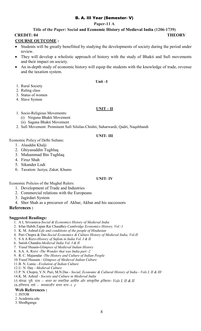#### **Paper-11 A**

#### **Title of the Paper: Social and Economic History of Medieval India (1206-1739)**

### **CREDIT: 04 THEORY**

#### **COURSE OUTCOME :**

- Students will be greatly benefitted by studying the developments of society during the period under review.
- They will develop a wholistic approach of history with the study of Bhakti and Sufi movements and their impact on society.
- An in-depth study of economic history will equip the students with the knowledge of trade, revenue and the taxation system.

#### **Unit –I**

- 1. Rural Society
- 2. Ruling class
- 3. Status of women
- 4. Slave System

#### **UNIT – II**

- 1. Socio-Religious Movements:
	- (i) Nirguna Bhakti Movement
	- (ii) Saguna Bhakti Movement
- 2. Sufi Movement: Prominent Sufi Silsilas-Chishti, Suharwardi, Qadri, Naqshbandi

#### **UNIT- III**

Economic Policy of Delhi Sultans:

- 1. Alauddin Khalji
- 2. Ghiyasuddin Tughluq
- 3. Muhammad Bin Tughlaq
- 4. Firuz Shah
- 5. Sikander Lodi
- 6. Taxation: Jaziya; Zakat; Khums

#### **UNIT- IV**

Economic Policies of the Mughal Rulers:

- 1. Development of Trade and Industries
- 2. Commercial relations with the Europeans
- 3. Jagirdari System
- 4. Sher Shah as a precursor of Akbar, Akbar and his successors

#### **References :**

#### **Suggested Readings:**

- 1. A L Srivastava-*Social & Economics History of Medieval India*
- 2. Irfan Habib,Tapan Rai Chaudhry-*Cambridge Economics History, Vol.-1*
- 3. K. M. Ashraf-*Life and conditions of the people of Hindustan*
- 4. Puri Chopra & Das-*Social Economics & Culture History of Medieval India, Vol-II*
- 5. S A A Rizvi-*History of Sufism in India Vol. I & II*
- 6. Satish Chandra-*Medieval India Vol. I & II*
- 7. Yusuf Husain-*Glimpses of Medieval Indian History*
- 8. S.A. A. Rizvi -*The Wonder that was India part -2*
- 9. R. C. Majumdar -*The History and Culture of Indian People*
- 10.Yusuf Hussain *Glimpses of Medieval Indian Culture*
- 11.B. N. Lunia *Evolution of Indian Culture*
- 12.U. N. Day *Medieval Culture*
- 13.P. N. Chopra, V.N. Puri, M.N.Das *Social, Economic & Cultural History of India Vols I, II & III*
- 14.K. M. Ashraf *Society and Culture in Medieval India*
- 15.चोपड़ा, पुरी, दास *भारत का समाजिक आर्थिक और सांस्कृतिक इतिहास– Vols I, II & II*

 $16.$ हरिश्चन्द्र वर्मा – *मध्यकालीन भारत भाग-1, 2* 

- 1.JSTOR
- 2. Academia.edu
- 3. Shodhganga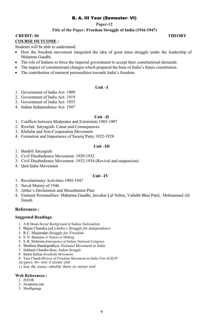#### **Paper-12**

### **Title of the Paper: Freedom Struggle of India (1916-1947)**

# **CREDIT: 04 THEORY**

#### **COURSE OUTCOME :**

Students will be able to understand:

- How the freedom movement integrated the idea of great mass struggle under the leadership of Mahatma Gandhi.
- The role of Indians to force the imperial government to accept their constitutional demands.
- The impact of constitutional changes which prepared the base of India's future constitution.
- The contribution of eminent personalities towards India's freedom.

#### **Unit –I**

- 1. Government of India Act- 1909
- 2. Government of India Act- 1919
- 3. Government of India Act- 1935
- 4. Indian Independence Act- 1947

#### **Unit –II**

- 1. Conflicts between Moderates and Extremists 1905-1907
- 2. Rowlatt Satyagrah- Cause and Consequences
- 3. Khilafat and Non-Cooperation Movement
- 4. Formation and Importance of Swaraj Party 1922-1928

#### **Unit –III**

- 1. Bardoli Satyagrah
- 2. Civil Disobedience Movement- 1929-1932
- 3. Civil Disobedience Movement- 1932-1934 (Revival and suspension)
- 4. Quit India Movement

#### **Unit –IV**

- 1. Revolutionary Activities-1905-1947
- 2. Naval Mutiny of 1946
- 3. Attlee's Declaration and Mountbatten Plan
- 4. Eminent Personalities: Mahatma Gandhi, Jawahar Lal Nehru, Vallabh Bhai Patel, Mohammad Ali Jinnah.

#### **References :**

#### **Suggested Readings:**

- 1. A R Desai-*Social Background of Indian Nationalism*
- 2. Bipan Chandra (ed.)-*India's Struggle for Independence*
- 3. R.C. Majumdar-*Struggle for Freedom*-
- 4. S. N. Banerjee-*A Nation in Making*
- 5. S. R. Mehrotra-*Emergence of Indian National Congress*
- 6. Shekhar Bandopadhya–*National Movement in India*
- 7. Subhash Chandra Bose–*Indian Struggle*
- 8. Sumit Sarkar-*Swadeshi Movement*
- 9. Tara Chand-*History of Freedom Movement in India Vols-II,III,IV*
- 10.पूखराज जैन-*भारत में स्वतंत्रता संघर्ष*

11.आर0 सी0 अग्रवाल–*संवैधानिक विकास एवं स्वतंत्रता संघर्ष* 

- 1. JSTOR
- 2. Academia.edu
- 3. Shodhganga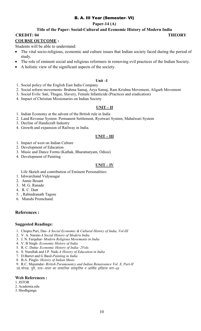### **Paper-14 (A)**

#### **Title of the Paper: Social-Cultural and Economic History of Modern India**

**CREDIT: 04** THEORY

### **COURSE OUTCOME :**

Students will be able to understand:

- The vital socio-religious, economic and culture issues that Indian society faced during the period of study.
- The role of eminent social and religious reformers in removing evil practices of the Indian Society.
- A holistic view of the significant aspects of the society.

#### **Unit –I**

- 1. Social policy of the English East India Company
- 2. Social reform movements: Brahma Samaj, Arya Samaj, Ram Krishna Movement, Aligarh Movement
- 3. Social Evils: Sati, Thugee, Slavery, Female Infanticide (Practices and eradication)
- 4. Impact of Christian Missionaries on Indian Society

#### **UNIT – II**

- 1. Indian Economy at the advent of the British rule in India
- 2. Land Revenue System: Permanent Settlement, Ryotwari System, Mahalwari System
- 3. Decline of Handicraft Industry
- 4. Growth and expansion of Railway in India.

#### **UNIT – III**

- 1. Impact of west on Indian Culture
- 2. Development of Education
- 3. Music and Dance Forms (Kathak, Bharatnatyam, Odissi)
- 4. Development of Painting

#### **UNIT – IV**

Life Sketch and contribution of Eminent Personalities:

- 1. Ishwarchand Vidyasagar
- 2. Annie Besant
- 3. M. G. Ranade
- 4. R. C. Dutt
- 5. , Rabindranath Tagore
- 6. Munshi Premchand.

## **References :**

#### **Suggested Readings:**

- 1. Chopra Puri, Das- *A Social Economic & Cultural History of India, Vol-III*
- 2. V. A. Narain-*A Social History of Modern India*
- 3. J. N. Farquhar- *Modern Religious Movements in India*
- 4. V. B Singh- *Economic History of India*
- 5. R. C. Dutta- *Economic History of India- 2Vols.*
- 6. S. Nurullah and J.P. Naik-*A History of Education in India*
- 7. D.Barret and G Basil-*Painting in India*
- 8. B.A. Pingle- *History of Indian Music*
- 9. R.C. Majumdar- *British Paramountcy and Indian Renaissance Vol. X, Part-II*
- 10. चोपड़ा, पूरी, दास-*भारत का सामाजिक सांस्कृतिक व आर्थिक इतिहास भाग-03*

- 1.JSTOR
- 2. Academia.edu
- 3. Shodhganga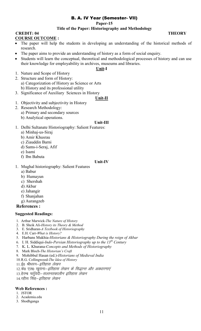#### **Paper-15**

### **Title of the Paper: Historiography and Methodology**

#### **CREDIT: 04 THEORY COURSE OUTCOME :**

- The paper will help the students in developing an understanding of the historical methods of research.
- The paper aims to provide an understanding of history as a form of social enquiry.
- Students will learn the conceptual, theoretical and methodological processes of history and can use their knowledge for employability in archives, museums and libraries.

## **Unit-I**

- 1. Nature and Scope of History
- 2. Structure and form of History: a) Categorization of History as Science or Arts b) History and its professional utility
- 3. Significance of Auxiliary Sciences in History

### **Unit-II**

- 1. Objectivity and subjectivity in History
- 2. Research Methodology:
	- a) Primary and secondary sources
	- b) Analytical operations.

#### **Unit-III**

- 1. Delhi Sultanate Historiography: Salient Features:
	- a) Minhaj-us-Siraj
	- b) Amir Khusrau
	- c) Ziauddin Barni
	- d) Sams-i-Seraj, Afif
	- e) Isami
	- f) Ibn Babuta

#### **Unit-IV**

1. Mughal historiography: Salient Features

- a) Babur
- b) Humayun
- c) Shershah
- d) Akbar
- e) Jahangir
- f) Shanjahan
- g) Aurangzeb
- **References :**

#### **Suggested Readings:**

- 1. Arthur Marwick-*The Nature of History*
- 2. B. Sheik Ali-*History its Theory & Method*
- 3. E. Sridharan-*A Textbook of Historiography*
- 4. E.H. Carr-*What is History?*
- 5. Harbans Mukhia-*Historians & Historiography During the reign of Akbar*
- 6. I. H. Siddiqui-*Indo-Persian Historiography up to the 13th Century*
- 7. K. L. Khurana-*Concepts and Methods of Historiography*
- 8. Mark Bloch-*The Historian's Craft*
- 9. Mohibbul Hasan (ed.)-*Historians of Medieval India*
- 10.R.G. Collingwood-*The Idea of History*
- 11.ई0 श्रीधरन–*इतिहास लेखन*
- 12.के0 एल0 खुराना–*इतिहास लेखन के सिद्धान्त और अवधारणाएं*
- 13.हेरम्ब चर्तवेदी–*सल्तनतकालीन इतिहास लेखन*
- 14.रहीस सिंह–*इतिहास लेखन*

- 1. JSTOR
- 2. Academia.edu
- 3. Shodhganga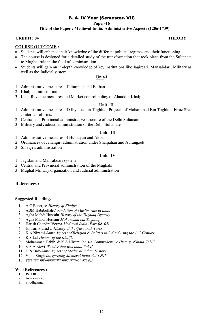**Paper-16**

#### **Title of the Paper : Medieval India: Administrative Aspects (1206-1739)**

#### **CREDIT: 04 THEORY**

#### **COURSE OUTCOME :**

- Students will enhance their knowledge of the different political regimes and their functioning.
- The course is designed for a detailed study of the transformation that took place from the Sultanate to Mughal rule in the field of administration.
- Students will gain an in-depth knowledge of key institutions like Jagirdari, Mansabdari, Military as well as the Judicial system.

#### **Unit-I**

- 1. Administrative measures of Iltutmish and Balban
- 2. Khalii administration
- 3. Land Revenue measures and Market control policy of Alauddin Khalji

#### **Unit –II**

- 1. Administrative measures of Ghyiasuddin Tughluq; Projects of Mohammad Bin Tughluq; Firuz Shah : Internal reforms.
- 2. Central and Provincial administrative structure of the Delhi Sultanate
- 3. Military and Judicial administration of the Delhi Sultanate

#### **Unit –III**

- 1. Administrative measures of Humayun and Akbar
- 2. Ordinances of Jahangir; administration under Shahjahan and Aurangzeb
- 3. Shivaji's administration

#### **Unit –IV**

- 1. Jagidari and Mansabdari system
- 2. Central and Provincial administration of the Mughals
- 3. Mughal Military organization and Judicial administration

#### **References :**

#### **Suggested Readings:**

- 1. A C Banerjee-*History of Khaljis*
- 2. ABM Habibullah-*Foundation of Muslim rule in India*
- 3. Agha Mehdi Hussain-*History of the Tughlaq Dynasty*
- 4. Agha Mahdi Hussain-*Mohammad bin Tughlaq*
- 5. Harish Chandra Verma-*Medieval India (Part-0& 02)*
- 6. Ishwari Prasad-*A History of the Qaraunah Turks*
- 7. K A Nizami-*Some Aspects of Religion & Politics in India during the 13th Century*
- 8. K S Lal-*History of the Khaljis*
- 9. Mohammad Habib & K A Nizami (ed.)-*A Comprehensive History of India Vol-V*
- 10. S A A Rizvi-*Wonder that was India Vol-II*
- 11. U N Day-*Some Aspects of Medieval Indian History*
- 12. Vipul Singh-*Interpreting Medieval India Vol-I &II*
- $13.$  हरीश चन्द्र वर्मा-*मध्यकालीन भारत (भाग-01 और 02)*

- 1. JSTOR
- 2. Academia.edu
- 3. Shodhganga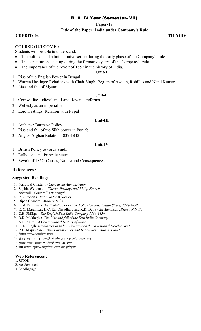**Paper-17**

**Title of the Paper: India under Company's Rule** 

**CREDIT: 04 THEORY**

#### **COURSE OUTCOME :**

Students will be able to understand:

- The political and administrative set-up during the early phase of the Company's rule.
- The constitutional set-up during the formative years of the Company's rule.
- The importance of the revolt of 1857 in the history of India.

#### **Unit-I**

- 1. Rise of the English Power in Bengal
- 2. Warren Hastings: Relations with Chait Singh, Begum of Awadh, Rohillas and Nand Kumar
- 3. Rise and fall of Mysore

#### **Unit-II**

- 1. Cornwallis: Judicial and Land Revenue reforms
- 2. Wellesly as an imperialist
- 3. Lord Hastings: Relation with Nepal

#### **Unit-III**

- 1. Amherst: Burmese Policy
- 2. Rise and fall of the Sikh power in Punjab
- 3. Anglo- Afghan Relation:1839-1842

#### **Unit-IV**

- 1. British Policy towards Sindh
- 2. Dalhousie and Princely states
- 3. Revolt of 1857: Causes, Nature and Consequences

#### **References :**

#### **Suggested Readings:**

- 1. Nand Lal Chatterji *Clive as an Administrator*
- 2. Sophia Weitzman *Warren Hastings and Philip Francis*
- 3. Aspinall *Cornwallis in Bengal*
- 4. P.E. Roberts *India under Wellesley*
- 5. Bipan Chandra *Modern India*
- 6. K.M. Pannikar *The Evolution of British Policy towards Indian States, 1774-1858*
- 7. R. C. Majumdar, H.C. Rai Chaudhary and K.K. Datta *An Advanced History of India*
- 8. C.H. Phillips *The English East India Company 1784-1834*
- 9. R.K. Mukherjee- *The Rise and fall of the East India Company*
- 10.A.B. Keith *A Constitutional History of India*
- 11.G. N. Singh- *Landmarks in Indian Constitutional and National Developemnt*
- 12.R.C. Majumdar- *British Paramountcy and Indian Renaissance, Part-I*
- 13.बिपिन चन्द्र-आधुनिक भारत
- 14. शेखर बंद्योपाध्याय–*प्लासी से विभाजन तक और उसके बाद*
- 15.सुन्दर लाल-*भारत में अंग्रेजी राज, 02 भाग*
- 16.राम लखन शुक्ल-*आधुनिक भारत का इतिहास*

- 1.JSTOR
- 2. Academia.edu
- 3. Shodhganga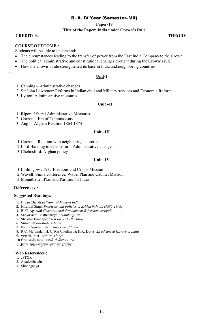**Paper-18** 

#### **Title of the Paper: India under Crown's Rule**

**CREDIT: 04 THEORY**

.

#### **COURSE OUTCOME :**

Students will be able to understand:

- The circumstances leading to the transfer of power from the East India Company to the Crown.
- The political administrative and constitutional changes brought during the Crown's rule.
- How the Crown's rule strengthened its base in India and neighboring countries.

#### **Unit-I**

- 1. Canning Administrative changes
- 2. Sir John Lawrence: Reforms in Indian civil and Military services and Economic Reform
- 3. Lytton: Administrative measures

#### **Unit –II**

- 1. Ripon: Liberal Administrative Measures
- 2. Curzon : Era of Commissions
- 3. Anglo- Afghan Relation:1864-1874

#### **Unit –III**

- 1.Curzon Relation with neighboring countries
- 2.Lord Handing to Chelmsford: Administrative changes
- 3.Chelmsford: Afghan policy

#### **Unit –IV**

- 1.Linlithgow : 1937 Elections and Cripps Mission
- 2.Wavell: Simla conference, Wavel Plan and Cabinet Mission
- 3.Mountbatten Plan and Partition of India

#### **References :**

#### **Suggested Readings:**

- 1. Bipan Chandra-*History of Modern India*
- 2. Hira Lal Singh-*Problems and Policies of British in India (1885-1898)*
- 3. R. C. Agarwal-*Constitutional development & freedom struggle*
- 4. Sabyasachi Bhattacharya-*Rethinking 1857*
- 5. Shekhar Bandopadhya-*Plassey to Partition*
- 6. Sumit Sarkar-*Modern India*
- 7. Pandit Sunder Lal- *British rule of India*
- 8. R.C. Majumdar, H. C. Rai Chudhary& K.K. Dutta *An advanced History of India*
- 9. एल0 पी0 शर्मा-*भारत का इतिहास*
- 10. शेखर बन्दोपाध्याय–*प्लासी से विभाजन तक*

11.बिपिन चन्द्र–*आधुनिक भारत का इतिहास* 

- 1. JSTOR
- 2. Academia.edu
- 3. Shodhganga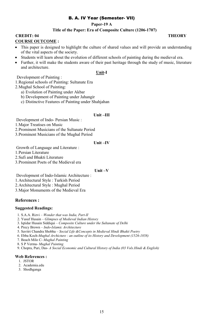#### **Paper-19 A**

### **Title of the Paper: Era of Composite Culture (1206-1707)**

# **CREDIT: 04 THEORY**

### **COURSE OUTCOME :**

- This paper is designed to highlight the culture of shared values and will provide an understanding of the vital aspects of the society.
- Students will learn about the evolution of different schools of painting during the medieval era.
- Further, it will make the students aware of their past heritage through the study of music, literature and architecture.

#### **Unit-I**

#### Development of Painting :

1.Regional schools of Painting: Sultanate Era

- 2.Mughal School of Painting:
	- a) Evolution of Painting under Akbar
	- b) Development of Painting under Jahangir
	- c) Distinctive Features of Painting under Shahjahan

#### **Unit –III**

Development of Indo- Persian Music :

1.Major Treatises on Music

2.Prominent Musicians of the Sultanate Period

3.Prominent Musicians of the Mughal Period

#### **Unit –IV**

Growth of Language and Literature :

1.Persian Literature

2.Sufi and Bhakti Literature

3.Prominent Poets of the Medieval era

#### **Unit –V**

Development of Indo-Islamic Architecture :

1.Architectural Style : Turkish Period

2.Architectural Style : Mughal Period

3.Major Monuments of the Medieval Era

## **References :**

#### **Suggested Readings:**

- 1. S.A.A. Rizvi *Wonder that was India, Part-II*
- 2. Yusuf Husain *Glimpses of Medieval Indian History*
- 3. Iqtidar Husain Siddiqui *Composite Culture under the Sultanate of Delhi*
- 4. Precy Brown *Indo-Islamic Architecture*
- 5. Savitri Chandra Shobha – *Social Life &Concepts in Medieval Hindi Bhakti Poetry*
- 6. Ebba Koch-*Mughal Archicture : an outline of its History and Development (1526-1858)*
- 7. Beach Milo C- *Mughal Painting*

8. S P Verma- *Mughal Painting* 

9. Chopra, Puri, Das- *A Social Economic and Cultural History of India (03 Vols.Hindi & English)* 

- 1. JSTOR
- 2. Academia.edu
- 3. Shodhganga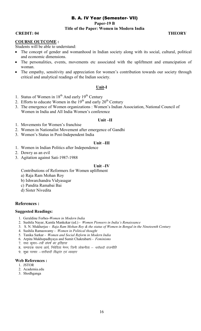**Paper-19 B** 

#### **Title of the Paper: Women in Modern India**

#### **CREDIT: 04 THEORY**

#### **COURSE OUTCOME :**

Students will be able to understand:

- The concept of gender and womanhood in Indian society along with its social, cultural, political and economic dimensions.
- The personalities, events, movements etc associated with the upliftment and emancipation of woman.
- The empathy, sensitivity and appreciation for women's contribution towards our society through critical and analytical readings of the Indian society.

#### **Unit-I**

- 1. Status of Women in  $18<sup>th</sup>$  And early  $19<sup>th</sup>$  Century
- 2. Efforts to educate Women in the  $19<sup>th</sup>$  and early  $20<sup>th</sup>$  Century
- 3. The emergence of Women organizations : Women's Indian Association, National Council of Women in India and All India Women's conference

#### **Unit –II**

- 1. Movements for Women's franchise
- 2. Women in Nationalist Movement after emergence of Gandhi
- 3. Women's Status in Post-Independent India

#### **Unit –III**

- 1. Women in Indian Politics after Independence
- 2. Dowry as an evil
- 3. Agitation against Sati-1987-1988

#### **Unit –IV**

Contributions of Reformers for Women upliftment

- a) Raja Ram Mohan Roy
- b) Ishwarchandra Vidyasagar
- c) Pandita Ramabai Bai
- d) Sister Nivedita

#### **References :**

#### **Suggested Readings:**

- 1. Geraldine Forbes-*Women in Modern India*
- 2. Sushila Nayar, Kamla Mankekar (ed.) *Women Pioneers in India's Renaissance*
- 3. S. N. Mukherjee *Raja Ram Mohan Roy & the status of Women in Bengal in the Nineteenth Century*
- 4. Sushila Ramaswamy *Women in Political thought*
- 5. Tanika Sarkar *Women and Social Reform in Modern India*
- 6. Arpita Mukhopadhyaya and Sumit Chakrabarti *Feminisms*
- 7. राधा कुमार–*स्त्री संघर्ष का इतिहास*
- 8. सम्पादक राधना आर्य, निवेदिता मेनन, जिनी लोकनीता *नारीवादी राजनीति*
- 9. शुभ्रा परमार  *नारीवादी सिद्धांत एवं व्यवहार*

- 1. JSTOR
- 2. Academia.edu
- 3. Shodhganga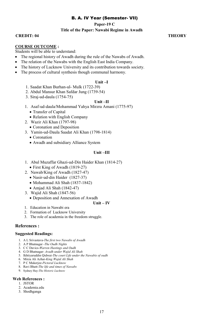**Paper-19 C**

#### **Title of the Paper: Nawabi Regime in Awadh**

**CREDIT: 04 THEORY**

#### **COURSE OUTCOME :**

Students will be able to understand:

- The regional history of Awadh during the rule of the Nawabs of Awadh.
- The relation of the Nawabs with the English East India Company.
- The history of Lucknow University and its contribution towards society.
- The process of cultural synthesis though communal harmony.

#### **Unit –I**

- 1. Saadat Khan Burhan-ul- Mulk (1722-39)
- 2. Abdul Mansur Khan Safdar Jung (1739-54)
- 3. Siraj-ud-daula (1754-75)

#### **Unit –II**

- 1. Asaf-ud-daula/Mohammad Yahya Mirzra Amani (1775-97)
	- Transfer of Capital
	- Relation with English Company
- 2. Wazir Ali Khan (1797-98)
	- Coronation and Deposition
- 3. Yamin-ud-Daula Saadat Ali Khan (1798-1814)
	- Coronation
	- Awadh and subsidiary Alliance System

#### **Unit –III**

- 1. Abul Muzaffar Ghazi-ud-Din Haider Khan (1814-27)
	- First King of Awadh (1819-27)
- 2. Nawab/King of Awadh (1827-47)
	- Nasir-ud-din Haider (1827-37)
	- Mohammad Ali Shah (1837-1842)
	- Amjad Ali Shah (1842-47)
- 3. Wajid Ali Shah (1847-56)
	- Deposition and Annexation of Awadh

#### **Unit – IV**

- 1. Education in Nawabi era
- 2. Formation of Lucknow University
- 3. The role of academia in the freedom struggle.

#### **References :**

#### **Suggested Readings:**

- 1. A L Srivastava-*The first two Nawabs of Awadh*
- 2. A P Bhatnagar -*The Oudh Nights*
- 3. C C Davics-*Warren Hastings and Oudh*
- 4. G D Bhatnagar- *Avadh under Wajid Ali Shah*
- 5. Ikhtiyaruddin Qidwai-*The court Life under the Nawabis of oudh*
- 6. Mirza Ali Azhar-*King Wajid Ali Shah*
- 7. P C Mukerjee-*Pictoral Lucknow*
- 8. Ravi Bhatt-*The life and times of Nawabs*
- 9. Sydney Hay-*The Historic Lucknow*

- 1. JSTOR
- 2. Academia.edu
- 3. Shodhganga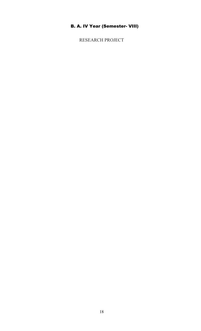RESEARCH PROJECT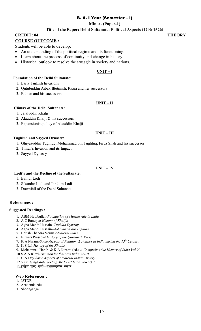# B. A. I Year (Semester – I)

#### **Minor- (Paper-1)**

#### **Title of the Paper: Delhi Sultanate: Political Aspects (1206-1526)**

**CREDIT: 04** THEORY

#### **COURSE OUTCOME :**

Students will be able to develop:

- An understanding of the political regime and its functioning.
- Learn about the process of continuity and change in history.
- Historical outlook to resolve the struggle in society and nations.

#### **UNIT – I**

#### **Foundation of the Delhi Sultanate:**

- 1. Early Turkish Invasions
- 2. Qutubuddin Aibak;Iltutmish; Razia and her successors
- 3. Balban and his successors

#### **UNIT – II**

#### **Climax of the Delhi Sultanate:**

- 1. Jalaluddin Khalji
- 2. Alauddin Khalji & his successors
- 3. Expansionist policy of Alauddin Khalji

#### **UNIT – III**

#### **Tughluq and Sayyed Dynasty:**

- 1. Ghiyasuddin Tughluq, Mohammad bin Tughluq, Firuz Shah and his successor
- 2. Timur's Invasion and its Impact
- 3. Sayyed Dynasty

#### **UNIT – IV**

#### **Lodi's and the Decline of the Sultanate:**

- 1. Bahlul Lodi
- 2. Sikandar Lodi and Ibrahim Lodi
- 3. Downfall of the Delhi Sultanate

#### **References :**

#### **Suggested Readings :**

- 1. ABM Habibullah-*Foundation of Muslim rule in India*
- 2. A C Banerjee-*History of Khaljis*
- 3. Agha Mehdi Hussain- *Tughlaq Dynasty*
- 4. Agha Mehdi Hussain-*Mohammad bin Tughlaq*
- 5. Harish Chandra Verma-*Medieval India*
- 6. Ishwari Prasad-*A History of the Qaraunah Turks*
- 7. K A Nizami-*Some Aspects of Religion & Politics in India during the 13th Century*
- 8. K S Lal-*History of the Khaljis*
- 9. Mohammad Habib & K A Nizami (ed.)-*A Comprehensive History of India Vol-V*
- 10.S A A Rizvi-*The Wonder that was India Vol-II*
- 11.U N Day-*Some Aspects of Medieval Indian History*
- 12.Vipul Singh-*Interpreting Medieval India Vol-I &II*
- 13.हरीश चन्द्र वर्मा–*मध्यकालीन भारत*

- 1. JSTOR
- 2. Academia.edu
- 3. Shodhganga